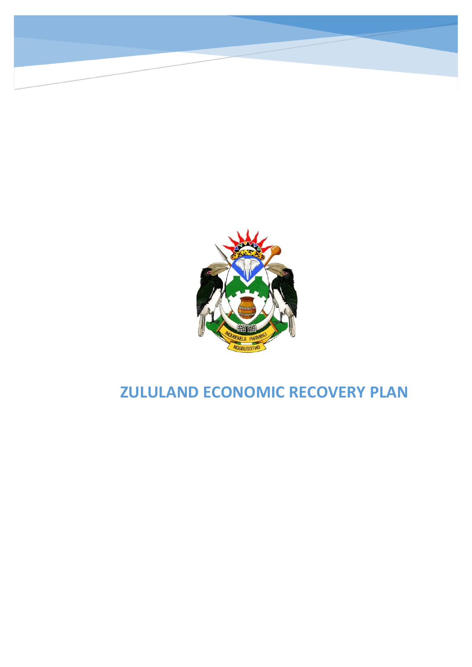

# **ZULULAND ECONOMIC RECOVERY PLAN**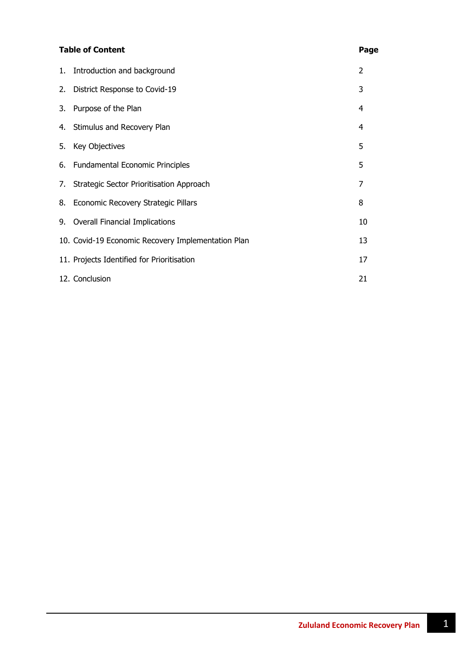#### **Table of Content Page**

|    | 1. Introduction and background                     | 2  |
|----|----------------------------------------------------|----|
| 2. | District Response to Covid-19                      | 3  |
| 3. | Purpose of the Plan                                | 4  |
|    | 4. Stimulus and Recovery Plan                      | 4  |
| 5. | Key Objectives                                     | 5  |
|    | 6. Fundamental Economic Principles                 | 5  |
| 7. | Strategic Sector Prioritisation Approach           | 7  |
|    | 8. Economic Recovery Strategic Pillars             | 8  |
|    | 9. Overall Financial Implications                  | 10 |
|    | 10. Covid-19 Economic Recovery Implementation Plan | 13 |
|    | 11. Projects Identified for Prioritisation         | 17 |
|    | 12. Conclusion                                     | 21 |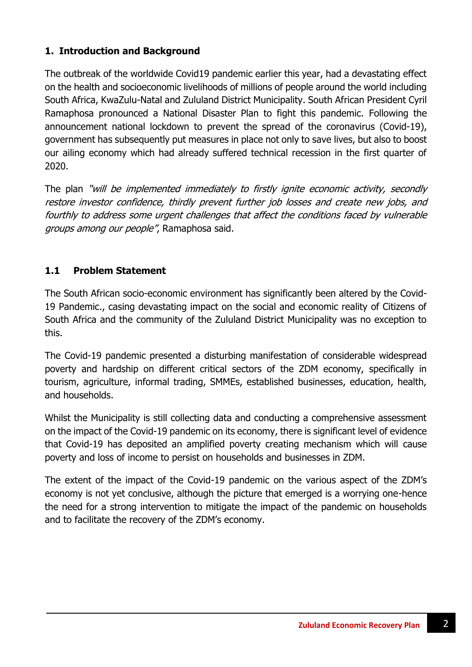# **1. Introduction and Background**

The outbreak of the worldwide Covid19 pandemic earlier this year, had a devastating effect on the health and socioeconomic livelihoods of millions of people around the world including South Africa, KwaZulu-Natal and Zululand District Municipality. South African President Cyril Ramaphosa pronounced a National Disaster Plan to fight this pandemic. Following the announcement national lockdown to prevent the spread of the coronavirus (Covid-19), government has subsequently put measures in place not only to save lives, but also to boost our ailing economy which had already suffered technical recession in the first quarter of 2020.

The plan "will be implemented immediately to firstly ignite economic activity, secondly restore investor confidence, thirdly prevent further job losses and create new jobs, and fourthly to address some urgent challenges that affect the conditions faced by vulnerable groups among our people", Ramaphosa said.

# **1.1 Problem Statement**

The South African socio-economic environment has significantly been altered by the Covid-19 Pandemic., casing devastating impact on the social and economic reality of Citizens of South Africa and the community of the Zululand District Municipality was no exception to this.

The Covid-19 pandemic presented a disturbing manifestation of considerable widespread poverty and hardship on different critical sectors of the ZDM economy, specifically in tourism, agriculture, informal trading, SMMEs, established businesses, education, health, and households.

Whilst the Municipality is still collecting data and conducting a comprehensive assessment on the impact of the Covid-19 pandemic on its economy, there is significant level of evidence that Covid-19 has deposited an amplified poverty creating mechanism which will cause poverty and loss of income to persist on households and businesses in ZDM.

The extent of the impact of the Covid-19 pandemic on the various aspect of the ZDM's economy is not yet conclusive, although the picture that emerged is a worrying one-hence the need for a strong intervention to mitigate the impact of the pandemic on households and to facilitate the recovery of the ZDM's economy.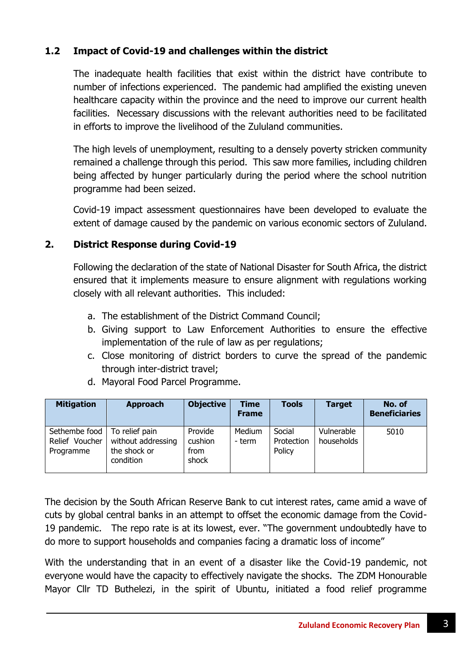# **1.2 Impact of Covid-19 and challenges within the district**

The inadequate health facilities that exist within the district have contribute to number of infections experienced. The pandemic had amplified the existing uneven healthcare capacity within the province and the need to improve our current health facilities. Necessary discussions with the relevant authorities need to be facilitated in efforts to improve the livelihood of the Zululand communities.

The high levels of unemployment, resulting to a densely poverty stricken community remained a challenge through this period. This saw more families, including children being affected by hunger particularly during the period where the school nutrition programme had been seized.

Covid-19 impact assessment questionnaires have been developed to evaluate the extent of damage caused by the pandemic on various economic sectors of Zululand.

# **2. District Response during Covid-19**

Following the declaration of the state of National Disaster for South Africa, the district ensured that it implements measure to ensure alignment with regulations working closely with all relevant authorities. This included:

- a. The establishment of the District Command Council;
- b. Giving support to Law Enforcement Authorities to ensure the effective implementation of the rule of law as per regulations;
- c. Close monitoring of district borders to curve the spread of the pandemic through inter-district travel;

| <b>Mitigation</b>                            | <b>Approach</b>                                                   | <b>Objective</b>                    | Time<br><b>Frame</b> | <b>Tools</b>                   | <b>Target</b>            | No. of<br><b>Beneficiaries</b> |
|----------------------------------------------|-------------------------------------------------------------------|-------------------------------------|----------------------|--------------------------------|--------------------------|--------------------------------|
| Sethembe food<br>Relief Voucher<br>Programme | To relief pain<br>without addressing<br>the shock or<br>condition | Provide<br>cushion<br>from<br>shock | Medium<br>- term     | Social<br>Protection<br>Policy | Vulnerable<br>households | 5010                           |

d. Mayoral Food Parcel Programme.

The decision by the South African Reserve Bank to cut interest rates, came amid a wave of cuts by global central banks in an attempt to offset the economic damage from the Covid-19 pandemic. The repo rate is at its lowest, ever. "The government undoubtedly have to do more to support households and companies facing a dramatic loss of income"

With the understanding that in an event of a disaster like the Covid-19 pandemic, not everyone would have the capacity to effectively navigate the shocks. The ZDM Honourable Mayor Cllr TD Buthelezi, in the spirit of Ubuntu, initiated a food relief programme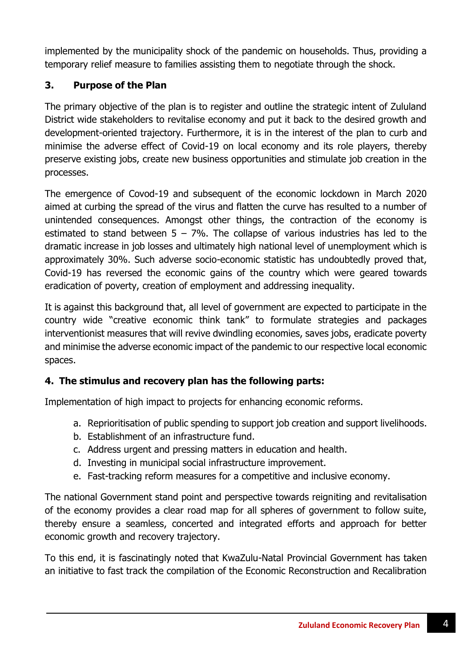implemented by the municipality shock of the pandemic on households. Thus, providing a temporary relief measure to families assisting them to negotiate through the shock.

# **3. Purpose of the Plan**

The primary objective of the plan is to register and outline the strategic intent of Zululand District wide stakeholders to revitalise economy and put it back to the desired growth and development-oriented trajectory. Furthermore, it is in the interest of the plan to curb and minimise the adverse effect of Covid-19 on local economy and its role players, thereby preserve existing jobs, create new business opportunities and stimulate job creation in the processes.

The emergence of Covod-19 and subsequent of the economic lockdown in March 2020 aimed at curbing the spread of the virus and flatten the curve has resulted to a number of unintended consequences. Amongst other things, the contraction of the economy is estimated to stand between  $5 - 7\%$ . The collapse of various industries has led to the dramatic increase in job losses and ultimately high national level of unemployment which is approximately 30%. Such adverse socio-economic statistic has undoubtedly proved that, Covid-19 has reversed the economic gains of the country which were geared towards eradication of poverty, creation of employment and addressing inequality.

It is against this background that, all level of government are expected to participate in the country wide "creative economic think tank" to formulate strategies and packages interventionist measures that will revive dwindling economies, saves jobs, eradicate poverty and minimise the adverse economic impact of the pandemic to our respective local economic spaces.

# **4. The stimulus and recovery plan has the following parts:**

Implementation of high impact to projects for enhancing economic reforms.

- a. Reprioritisation of public spending to support job creation and support livelihoods.
- b. Establishment of an infrastructure fund.
- c. Address urgent and pressing matters in education and health.
- d. Investing in municipal social infrastructure improvement.
- e. Fast-tracking reform measures for a competitive and inclusive economy.

The national Government stand point and perspective towards reigniting and revitalisation of the economy provides a clear road map for all spheres of government to follow suite, thereby ensure a seamless, concerted and integrated efforts and approach for better economic growth and recovery trajectory.

To this end, it is fascinatingly noted that KwaZulu-Natal Provincial Government has taken an initiative to fast track the compilation of the Economic Reconstruction and Recalibration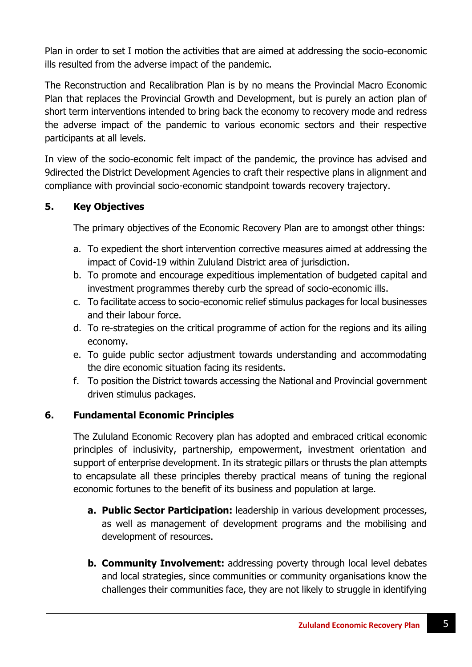Plan in order to set I motion the activities that are aimed at addressing the socio-economic ills resulted from the adverse impact of the pandemic.

The Reconstruction and Recalibration Plan is by no means the Provincial Macro Economic Plan that replaces the Provincial Growth and Development, but is purely an action plan of short term interventions intended to bring back the economy to recovery mode and redress the adverse impact of the pandemic to various economic sectors and their respective participants at all levels.

In view of the socio-economic felt impact of the pandemic, the province has advised and 9directed the District Development Agencies to craft their respective plans in alignment and compliance with provincial socio-economic standpoint towards recovery trajectory.

# **5. Key Objectives**

The primary objectives of the Economic Recovery Plan are to amongst other things:

- a. To expedient the short intervention corrective measures aimed at addressing the impact of Covid-19 within Zululand District area of jurisdiction.
- b. To promote and encourage expeditious implementation of budgeted capital and investment programmes thereby curb the spread of socio-economic ills.
- c. To facilitate access to socio-economic relief stimulus packages for local businesses and their labour force.
- d. To re-strategies on the critical programme of action for the regions and its ailing economy.
- e. To guide public sector adjustment towards understanding and accommodating the dire economic situation facing its residents.
- f. To position the District towards accessing the National and Provincial government driven stimulus packages.

# **6. Fundamental Economic Principles**

The Zululand Economic Recovery plan has adopted and embraced critical economic principles of inclusivity, partnership, empowerment, investment orientation and support of enterprise development. In its strategic pillars or thrusts the plan attempts to encapsulate all these principles thereby practical means of tuning the regional economic fortunes to the benefit of its business and population at large.

- **a. Public Sector Participation:** leadership in various development processes, as well as management of development programs and the mobilising and development of resources.
- **b. Community Involvement:** addressing poverty through local level debates and local strategies, since communities or community organisations know the challenges their communities face, they are not likely to struggle in identifying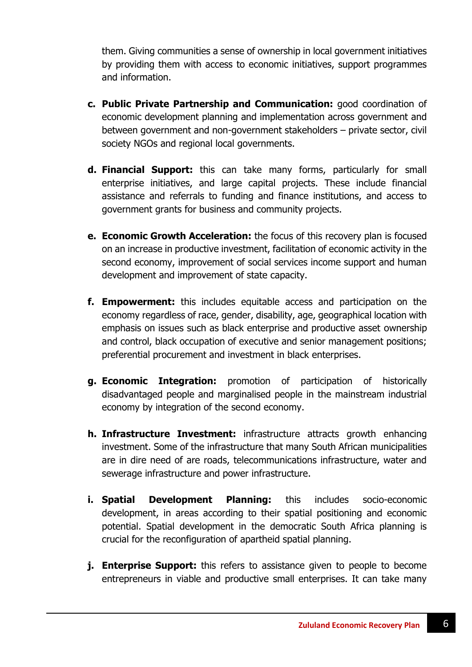them. Giving communities a sense of ownership in local government initiatives by providing them with access to economic initiatives, support programmes and information.

- **c. Public Private Partnership and Communication:** good coordination of economic development planning and implementation across government and between government and non-government stakeholders – private sector, civil society NGOs and regional local governments.
- **d. Financial Support:** this can take many forms, particularly for small enterprise initiatives, and large capital projects. These include financial assistance and referrals to funding and finance institutions, and access to government grants for business and community projects.
- **e. Economic Growth Acceleration:** the focus of this recovery plan is focused on an increase in productive investment, facilitation of economic activity in the second economy, improvement of social services income support and human development and improvement of state capacity.
- **f. Empowerment:** this includes equitable access and participation on the economy regardless of race, gender, disability, age, geographical location with emphasis on issues such as black enterprise and productive asset ownership and control, black occupation of executive and senior management positions; preferential procurement and investment in black enterprises.
- **g. Economic Integration:** promotion of participation of historically disadvantaged people and marginalised people in the mainstream industrial economy by integration of the second economy.
- **h. Infrastructure Investment:** infrastructure attracts growth enhancing investment. Some of the infrastructure that many South African municipalities are in dire need of are roads, telecommunications infrastructure, water and sewerage infrastructure and power infrastructure.
- **i. Spatial Development Planning:** this includes socio-economic development, in areas according to their spatial positioning and economic potential. Spatial development in the democratic South Africa planning is crucial for the reconfiguration of apartheid spatial planning.
- **j. Enterprise Support:** this refers to assistance given to people to become entrepreneurs in viable and productive small enterprises. It can take many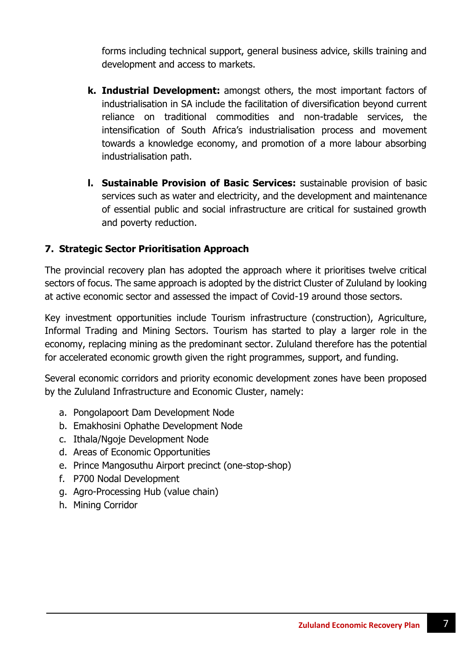forms including technical support, general business advice, skills training and development and access to markets.

- **k. Industrial Development:** amongst others, the most important factors of industrialisation in SA include the facilitation of diversification beyond current reliance on traditional commodities and non-tradable services, the intensification of South Africa's industrialisation process and movement towards a knowledge economy, and promotion of a more labour absorbing industrialisation path.
- **l. Sustainable Provision of Basic Services:** sustainable provision of basic services such as water and electricity, and the development and maintenance of essential public and social infrastructure are critical for sustained growth and poverty reduction.

# **7. Strategic Sector Prioritisation Approach**

The provincial recovery plan has adopted the approach where it prioritises twelve critical sectors of focus. The same approach is adopted by the district Cluster of Zululand by looking at active economic sector and assessed the impact of Covid-19 around those sectors.

Key investment opportunities include Tourism infrastructure (construction), Agriculture, Informal Trading and Mining Sectors. Tourism has started to play a larger role in the economy, replacing mining as the predominant sector. Zululand therefore has the potential for accelerated economic growth given the right programmes, support, and funding.

Several economic corridors and priority economic development zones have been proposed by the Zululand Infrastructure and Economic Cluster, namely:

- a. Pongolapoort Dam Development Node
- b. Emakhosini Ophathe Development Node
- c. Ithala/Ngoje Development Node
- d. Areas of Economic Opportunities
- e. Prince Mangosuthu Airport precinct (one-stop-shop)
- f. P700 Nodal Development
- g. Agro-Processing Hub (value chain)
- h. Mining Corridor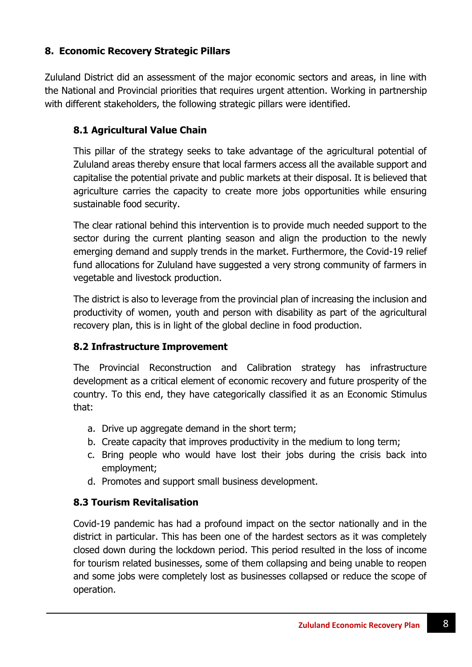# **8. Economic Recovery Strategic Pillars**

Zululand District did an assessment of the major economic sectors and areas, in line with the National and Provincial priorities that requires urgent attention. Working in partnership with different stakeholders, the following strategic pillars were identified.

# **8.1 Agricultural Value Chain**

This pillar of the strategy seeks to take advantage of the agricultural potential of Zululand areas thereby ensure that local farmers access all the available support and capitalise the potential private and public markets at their disposal. It is believed that agriculture carries the capacity to create more jobs opportunities while ensuring sustainable food security.

The clear rational behind this intervention is to provide much needed support to the sector during the current planting season and align the production to the newly emerging demand and supply trends in the market. Furthermore, the Covid-19 relief fund allocations for Zululand have suggested a very strong community of farmers in vegetable and livestock production.

The district is also to leverage from the provincial plan of increasing the inclusion and productivity of women, youth and person with disability as part of the agricultural recovery plan, this is in light of the global decline in food production.

### **8.2 Infrastructure Improvement**

The Provincial Reconstruction and Calibration strategy has infrastructure development as a critical element of economic recovery and future prosperity of the country. To this end, they have categorically classified it as an Economic Stimulus that:

- a. Drive up aggregate demand in the short term;
- b. Create capacity that improves productivity in the medium to long term;
- c. Bring people who would have lost their jobs during the crisis back into employment;
- d. Promotes and support small business development.

# **8.3 Tourism Revitalisation**

Covid-19 pandemic has had a profound impact on the sector nationally and in the district in particular. This has been one of the hardest sectors as it was completely closed down during the lockdown period. This period resulted in the loss of income for tourism related businesses, some of them collapsing and being unable to reopen and some jobs were completely lost as businesses collapsed or reduce the scope of operation.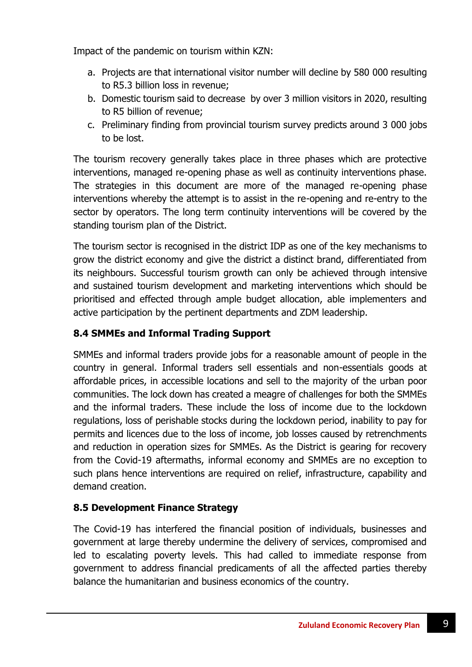Impact of the pandemic on tourism within KZN:

- a. Projects are that international visitor number will decline by 580 000 resulting to R5.3 billion loss in revenue;
- b. Domestic tourism said to decrease by over 3 million visitors in 2020, resulting to R5 billion of revenue;
- c. Preliminary finding from provincial tourism survey predicts around 3 000 jobs to be lost.

The tourism recovery generally takes place in three phases which are protective interventions, managed re-opening phase as well as continuity interventions phase. The strategies in this document are more of the managed re-opening phase interventions whereby the attempt is to assist in the re-opening and re-entry to the sector by operators. The long term continuity interventions will be covered by the standing tourism plan of the District.

The tourism sector is recognised in the district IDP as one of the key mechanisms to grow the district economy and give the district a distinct brand, differentiated from its neighbours. Successful tourism growth can only be achieved through intensive and sustained tourism development and marketing interventions which should be prioritised and effected through ample budget allocation, able implementers and active participation by the pertinent departments and ZDM leadership.

# **8.4 SMMEs and Informal Trading Support**

SMMEs and informal traders provide jobs for a reasonable amount of people in the country in general. Informal traders sell essentials and non-essentials goods at affordable prices, in accessible locations and sell to the majority of the urban poor communities. The lock down has created a meagre of challenges for both the SMMEs and the informal traders. These include the loss of income due to the lockdown regulations, loss of perishable stocks during the lockdown period, inability to pay for permits and licences due to the loss of income, job losses caused by retrenchments and reduction in operation sizes for SMMEs. As the District is gearing for recovery from the Covid-19 aftermaths, informal economy and SMMEs are no exception to such plans hence interventions are required on relief, infrastructure, capability and demand creation.

# **8.5 Development Finance Strategy**

The Covid-19 has interfered the financial position of individuals, businesses and government at large thereby undermine the delivery of services, compromised and led to escalating poverty levels. This had called to immediate response from government to address financial predicaments of all the affected parties thereby balance the humanitarian and business economics of the country.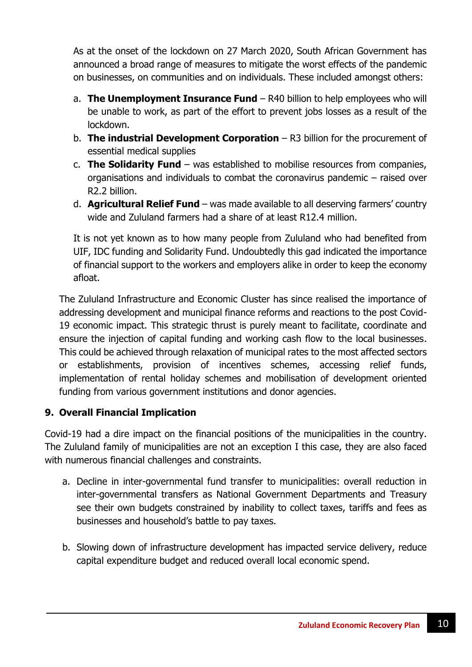As at the onset of the lockdown on 27 March 2020, South African Government has announced a broad range of measures to mitigate the worst effects of the pandemic on businesses, on communities and on individuals. These included amongst others:

- a. **The Unemployment Insurance Fund** R40 billion to help employees who will be unable to work, as part of the effort to prevent jobs losses as a result of the lockdown.
- b. **The industrial Development Corporation** R3 billion for the procurement of essential medical supplies
- c. **The Solidarity Fund**  was established to mobilise resources from companies, organisations and individuals to combat the coronavirus pandemic – raised over R2.2 billion.
- d. **Agricultural Relief Fund**  was made available to all deserving farmers' country wide and Zululand farmers had a share of at least R12.4 million.

It is not yet known as to how many people from Zululand who had benefited from UIF, IDC funding and Solidarity Fund. Undoubtedly this gad indicated the importance of financial support to the workers and employers alike in order to keep the economy afloat.

The Zululand Infrastructure and Economic Cluster has since realised the importance of addressing development and municipal finance reforms and reactions to the post Covid-19 economic impact. This strategic thrust is purely meant to facilitate, coordinate and ensure the injection of capital funding and working cash flow to the local businesses. This could be achieved through relaxation of municipal rates to the most affected sectors or establishments, provision of incentives schemes, accessing relief funds, implementation of rental holiday schemes and mobilisation of development oriented funding from various government institutions and donor agencies.

# **9. Overall Financial Implication**

Covid-19 had a dire impact on the financial positions of the municipalities in the country. The Zululand family of municipalities are not an exception I this case, they are also faced with numerous financial challenges and constraints.

- a. Decline in inter-governmental fund transfer to municipalities: overall reduction in inter-governmental transfers as National Government Departments and Treasury see their own budgets constrained by inability to collect taxes, tariffs and fees as businesses and household's battle to pay taxes.
- b. Slowing down of infrastructure development has impacted service delivery, reduce capital expenditure budget and reduced overall local economic spend.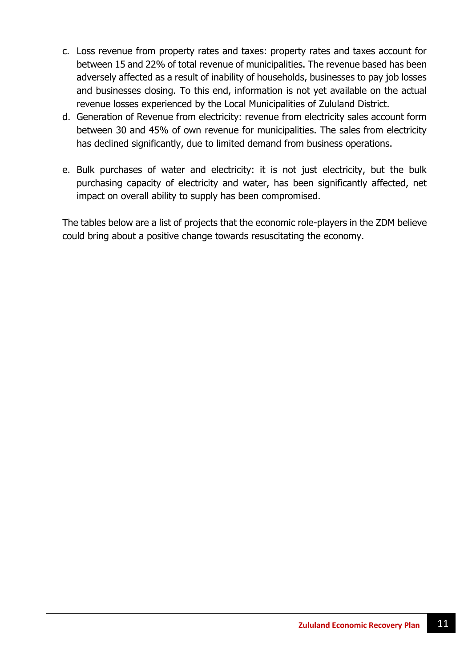- c. Loss revenue from property rates and taxes: property rates and taxes account for between 15 and 22% of total revenue of municipalities. The revenue based has been adversely affected as a result of inability of households, businesses to pay job losses and businesses closing. To this end, information is not yet available on the actual revenue losses experienced by the Local Municipalities of Zululand District.
- d. Generation of Revenue from electricity: revenue from electricity sales account form between 30 and 45% of own revenue for municipalities. The sales from electricity has declined significantly, due to limited demand from business operations.
- e. Bulk purchases of water and electricity: it is not just electricity, but the bulk purchasing capacity of electricity and water, has been significantly affected, net impact on overall ability to supply has been compromised.

The tables below are a list of projects that the economic role-players in the ZDM believe could bring about a positive change towards resuscitating the economy.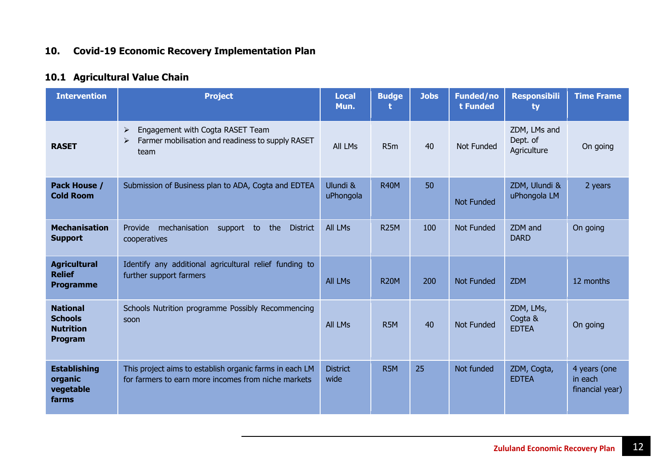# **10. Covid-19 Economic Recovery Implementation Plan**

# **10.1 Agricultural Value Chain**

| <b>Intervention</b>                                              | <b>Project</b>                                                                                                              | <b>Local</b><br>Mun.    | <b>Budge</b>     | <b>Jobs</b> | <b>Funded/no</b><br>t Funded | <b>Responsibili</b><br>ty               | <b>Time Frame</b>                          |
|------------------------------------------------------------------|-----------------------------------------------------------------------------------------------------------------------------|-------------------------|------------------|-------------|------------------------------|-----------------------------------------|--------------------------------------------|
| <b>RASET</b>                                                     | Engagement with Cogta RASET Team<br>$\blacktriangleright$<br>Farmer mobilisation and readiness to supply RASET<br>➤<br>team | All LMs                 | R <sub>5m</sub>  | 40          | <b>Not Funded</b>            | ZDM, LMs and<br>Dept. of<br>Agriculture | On going                                   |
| Pack House /<br><b>Cold Room</b>                                 | Submission of Business plan to ADA, Cogta and EDTEA                                                                         | Ulundi &<br>uPhongola   | <b>R40M</b>      | 50          | <b>Not Funded</b>            | ZDM, Ulundi &<br>uPhongola LM           | 2 years                                    |
| <b>Mechanisation</b><br><b>Support</b>                           | mechanisation<br>the<br>Provide<br>support<br>to<br><b>District</b><br>cooperatives                                         | <b>All LMs</b>          | <b>R25M</b>      | 100         | <b>Not Funded</b>            | ZDM and<br><b>DARD</b>                  | On going                                   |
| <b>Agricultural</b><br><b>Relief</b><br><b>Programme</b>         | Identify any additional agricultural relief funding to<br>further support farmers                                           | <b>All LMs</b>          | <b>R20M</b>      | 200         | <b>Not Funded</b>            | <b>ZDM</b>                              | 12 months                                  |
| <b>National</b><br><b>Schools</b><br><b>Nutrition</b><br>Program | Schools Nutrition programme Possibly Recommencing<br>soon                                                                   | <b>All LMs</b>          | R <sub>5</sub> M | 40          | <b>Not Funded</b>            | ZDM, LMs,<br>Cogta &<br><b>EDTEA</b>    | On going                                   |
| <b>Establishing</b><br>organic<br>vegetable<br>farms             | This project aims to establish organic farms in each LM<br>for farmers to earn more incomes from niche markets              | <b>District</b><br>wide | R <sub>5</sub> M | 25          | Not funded                   | ZDM, Cogta,<br><b>EDTEA</b>             | 4 years (one<br>in each<br>financial year) |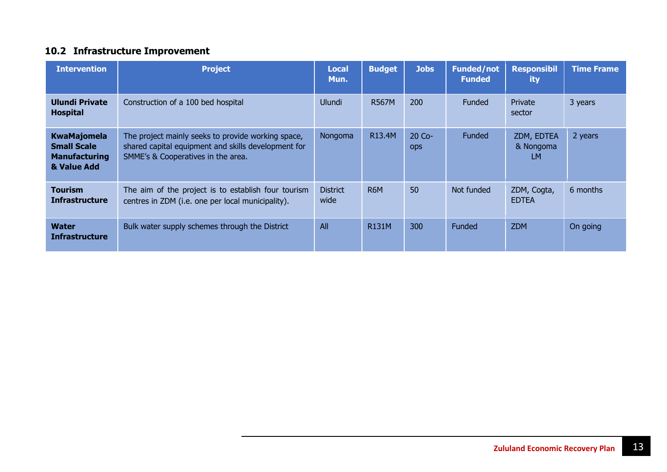# **10.2 Infrastructure Improvement**

| <b>Intervention</b>                                                             | <b>Project</b>                                                                                                                                  | <b>Local</b><br>Mun.    | <b>Budget</b> | <b>Jobs</b>            | <b>Funded/not</b><br><b>Funded</b> | <b>Responsibil</b><br>ity      | <b>Time Frame</b> |
|---------------------------------------------------------------------------------|-------------------------------------------------------------------------------------------------------------------------------------------------|-------------------------|---------------|------------------------|------------------------------------|--------------------------------|-------------------|
| <b>Ulundi Private</b><br><b>Hospital</b>                                        | Construction of a 100 bed hospital                                                                                                              | Ulundi                  | <b>R567M</b>  | 200                    | <b>Funded</b>                      | Private<br>sector              | 3 years           |
| <b>KwaMajomela</b><br><b>Small Scale</b><br><b>Manufacturing</b><br>& Value Add | The project mainly seeks to provide working space,<br>shared capital equipment and skills development for<br>SMME's & Cooperatives in the area. | Nongoma                 | R13.4M        | $20$ Co-<br><b>ODS</b> | <b>Funded</b>                      | ZDM, EDTEA<br>& Nongoma<br>LM. | 2 years           |
| <b>Tourism</b><br><b>Infrastructure</b>                                         | The aim of the project is to establish four tourism<br>centres in ZDM (i.e. one per local municipality).                                        | <b>District</b><br>wide | R6M           | 50                     | Not funded                         | ZDM, Cogta,<br><b>EDTEA</b>    | 6 months          |
| <b>Water</b><br><b>Infrastructure</b>                                           | Bulk water supply schemes through the District                                                                                                  | All                     | <b>R131M</b>  | 300                    | Funded                             | <b>ZDM</b>                     | On going          |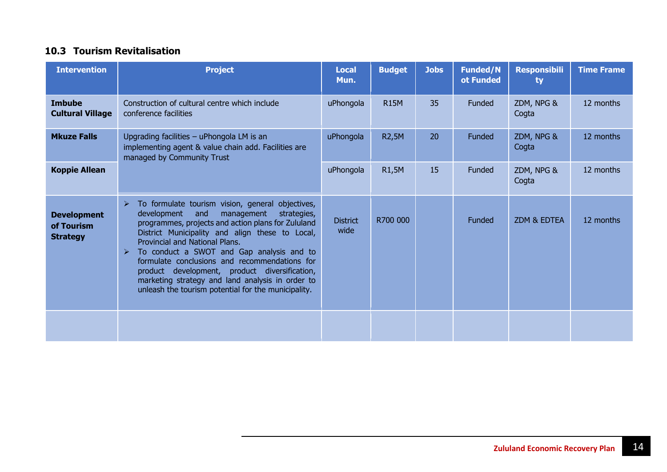#### **10.3 Tourism Revitalisation**

| <b>Intervention</b>                                 | <b>Project</b>                                                                                                                                                                                                                                                                                                                                                                                                                                                                                                                         | <b>Local</b><br>Mun.    | <b>Budget</b> | <b>Jobs</b> | <b>Funded/N</b><br>ot Funded | <b>Responsibili</b><br>ty | <b>Time Frame</b> |
|-----------------------------------------------------|----------------------------------------------------------------------------------------------------------------------------------------------------------------------------------------------------------------------------------------------------------------------------------------------------------------------------------------------------------------------------------------------------------------------------------------------------------------------------------------------------------------------------------------|-------------------------|---------------|-------------|------------------------------|---------------------------|-------------------|
| <b>Imbube</b><br><b>Cultural Village</b>            | Construction of cultural centre which include<br>conference facilities                                                                                                                                                                                                                                                                                                                                                                                                                                                                 | uPhongola               | <b>R15M</b>   | 35          | <b>Funded</b>                | ZDM, NPG &<br>Cogta       | 12 months         |
| <b>Mkuze Falls</b>                                  | Upgrading facilities - uPhongola LM is an<br>implementing agent & value chain add. Facilities are<br>managed by Community Trust                                                                                                                                                                                                                                                                                                                                                                                                        | uPhongola               | <b>R2,5M</b>  | 20          | Funded                       | ZDM, NPG &<br>Cogta       | 12 months         |
| <b>Koppie Allean</b>                                |                                                                                                                                                                                                                                                                                                                                                                                                                                                                                                                                        | uPhongola               | R1,5M         | 15          | Funded                       | ZDM, NPG &<br>Cogta       | 12 months         |
| <b>Development</b><br>of Tourism<br><b>Strategy</b> | To formulate tourism vision, general objectives,<br>$\blacktriangleright$<br>development<br>management<br>strategies,<br>and<br>programmes, projects and action plans for Zululand<br>District Municipality and align these to Local,<br>Provincial and National Plans.<br>To conduct a SWOT and Gap analysis and to<br>➤<br>formulate conclusions and recommendations for<br>product development, product diversification,<br>marketing strategy and land analysis in order to<br>unleash the tourism potential for the municipality. | <b>District</b><br>wide | R700 000      |             | Funded                       | ZDM & EDTEA               | 12 months         |
|                                                     |                                                                                                                                                                                                                                                                                                                                                                                                                                                                                                                                        |                         |               |             |                              |                           |                   |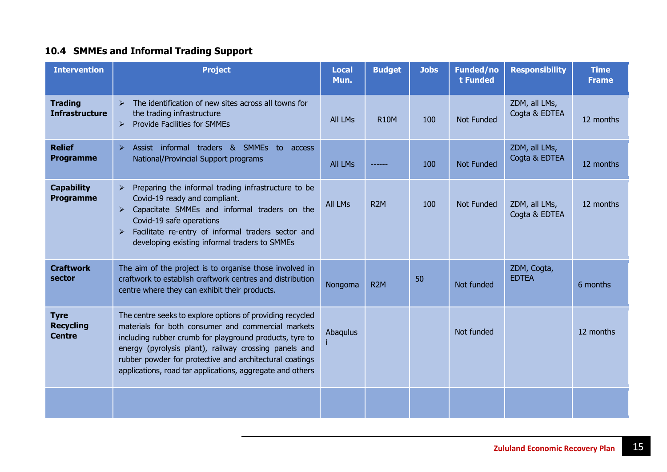# **10.4 SMMEs and Informal Trading Support**

| <b>Intervention</b>                              | <b>Project</b>                                                                                                                                                                                                                                                                                                                                              | <b>Local</b><br>Mun. | <b>Budget</b>    | <b>Jobs</b> | <b>Funded/no</b><br>t Funded | <b>Responsibility</b>          | <b>Time</b><br><b>Frame</b> |
|--------------------------------------------------|-------------------------------------------------------------------------------------------------------------------------------------------------------------------------------------------------------------------------------------------------------------------------------------------------------------------------------------------------------------|----------------------|------------------|-------------|------------------------------|--------------------------------|-----------------------------|
| <b>Trading</b><br><b>Infrastructure</b>          | The identification of new sites across all towns for<br>$\blacktriangleright$<br>the trading infrastructure<br><b>Provide Facilities for SMMEs</b><br>$\blacktriangleright$                                                                                                                                                                                 | All LMs              | <b>R10M</b>      | 100         | <b>Not Funded</b>            | ZDM, all LMs,<br>Cogta & EDTEA | 12 months                   |
| <b>Relief</b><br><b>Programme</b>                | Assist informal traders & SMMEs<br>$\blacktriangleright$<br>to access<br>National/Provincial Support programs                                                                                                                                                                                                                                               | <b>All LMs</b>       |                  | 100         | <b>Not Funded</b>            | ZDM, all LMs,<br>Cogta & EDTEA | 12 months                   |
| <b>Capability</b><br><b>Programme</b>            | $\triangleright$ Preparing the informal trading infrastructure to be<br>Covid-19 ready and compliant.<br>Capacitate SMMEs and informal traders on the<br>$\blacktriangleright$<br>Covid-19 safe operations<br>Facilitate re-entry of informal traders sector and<br>$\blacktriangleright$<br>developing existing informal traders to SMMEs                  | All LMs              | R <sub>2</sub> M | 100         | <b>Not Funded</b>            | ZDM, all LMs,<br>Cogta & EDTEA | 12 months                   |
| <b>Craftwork</b><br>sector                       | The aim of the project is to organise those involved in<br>craftwork to establish craftwork centres and distribution<br>centre where they can exhibit their products.                                                                                                                                                                                       | Nongoma              | R <sub>2</sub> M | 50          | Not funded                   | ZDM, Cogta,<br><b>EDTEA</b>    | 6 months                    |
| <b>Tyre</b><br><b>Recycling</b><br><b>Centre</b> | The centre seeks to explore options of providing recycled<br>materials for both consumer and commercial markets<br>including rubber crumb for playground products, tyre to<br>energy (pyrolysis plant), railway crossing panels and<br>rubber powder for protective and architectural coatings<br>applications, road tar applications, aggregate and others | Abaqulus             |                  |             | Not funded                   |                                | 12 months                   |
|                                                  |                                                                                                                                                                                                                                                                                                                                                             |                      |                  |             |                              |                                |                             |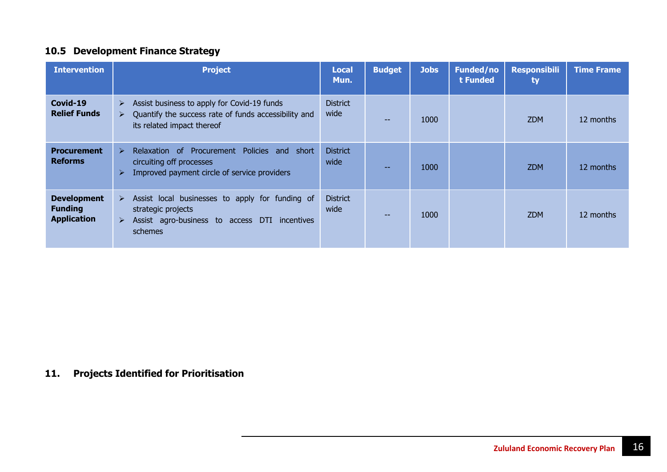# **10.5 Development Finance Strategy**

| <b>Intervention</b>                                        | <b>Project</b>                                                                                                                                                                      | <b>Local</b><br>Mun.    | <b>Budget</b> | <b>Jobs</b> | <b>Funded/no</b><br>t Funded | <b>Responsibili</b><br>ty | <b>Time Frame</b> |
|------------------------------------------------------------|-------------------------------------------------------------------------------------------------------------------------------------------------------------------------------------|-------------------------|---------------|-------------|------------------------------|---------------------------|-------------------|
| Covid-19<br><b>Relief Funds</b>                            | Assist business to apply for Covid-19 funds<br>$\blacktriangleright$<br>Quantify the success rate of funds accessibility and<br>$\blacktriangleright$<br>its related impact thereof | <b>District</b><br>wide | $- -$         | 1000        |                              | <b>ZDM</b>                | 12 months         |
| <b>Procurement</b><br><b>Reforms</b>                       | Relaxation of Procurement Policies and short<br>➤<br>circuiting off processes<br>Improved payment circle of service providers<br>$\blacktriangleright$                              | <b>District</b><br>wide |               | 1000        |                              | <b>ZDM</b>                | 12 months         |
| <b>Development</b><br><b>Funding</b><br><b>Application</b> | $\triangleright$ Assist local businesses to apply for funding of<br>strategic projects<br>Assist agro-business to access DTI incentives<br>$\blacktriangleright$<br>schemes         | <b>District</b><br>wide |               | 1000        |                              | <b>ZDM</b>                | 12 months         |

# **11. Projects Identified for Prioritisation**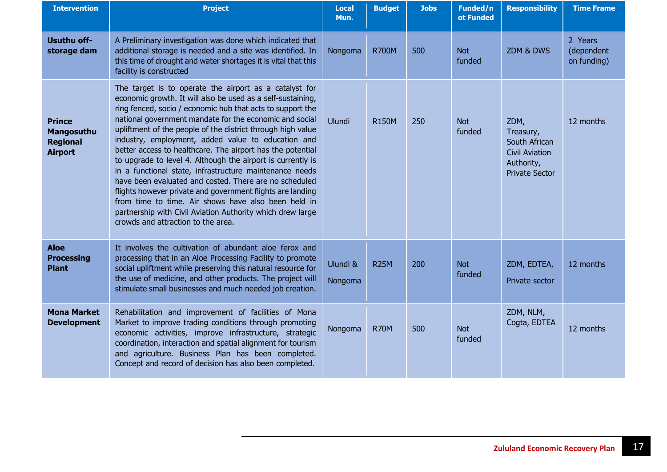| <b>Intervention</b>                                              | <b>Project</b>                                                                                                                                                                                                                                                                                                                                                                                                                                                                                                                                                                                                                                                                                                                                                                                                                                 | <b>Local</b><br>Mun. | <b>Budget</b> | <b>Jobs</b> | Funded/n<br>ot Funded | <b>Responsibility</b>                                                                              | <b>Time Frame</b>                    |
|------------------------------------------------------------------|------------------------------------------------------------------------------------------------------------------------------------------------------------------------------------------------------------------------------------------------------------------------------------------------------------------------------------------------------------------------------------------------------------------------------------------------------------------------------------------------------------------------------------------------------------------------------------------------------------------------------------------------------------------------------------------------------------------------------------------------------------------------------------------------------------------------------------------------|----------------------|---------------|-------------|-----------------------|----------------------------------------------------------------------------------------------------|--------------------------------------|
| Usuthu off-<br>storage dam                                       | A Preliminary investigation was done which indicated that<br>additional storage is needed and a site was identified. In<br>this time of drought and water shortages it is vital that this<br>facility is constructed                                                                                                                                                                                                                                                                                                                                                                                                                                                                                                                                                                                                                           | Nongoma              | <b>R700M</b>  | 500         | <b>Not</b><br>funded  | ZDM & DWS                                                                                          | 2 Years<br>(dependent<br>on funding) |
| <b>Prince</b><br>Mangosuthu<br><b>Regional</b><br><b>Airport</b> | The target is to operate the airport as a catalyst for<br>economic growth. It will also be used as a self-sustaining,<br>ring fenced, socio / economic hub that acts to support the<br>national government mandate for the economic and social<br>upliftment of the people of the district through high value<br>industry, employment, added value to education and<br>better access to healthcare. The airport has the potential<br>to upgrade to level 4. Although the airport is currently is<br>in a functional state, infrastructure maintenance needs<br>have been evaluated and costed. There are no scheduled<br>flights however private and government flights are landing<br>from time to time. Air shows have also been held in<br>partnership with Civil Aviation Authority which drew large<br>crowds and attraction to the area. | Ulundi               | <b>R150M</b>  | 250         | <b>Not</b><br>funded  | ZDM,<br>Treasury,<br>South African<br><b>Civil Aviation</b><br>Authority,<br><b>Private Sector</b> | 12 months                            |
| <b>Aloe</b><br><b>Processing</b><br><b>Plant</b>                 | It involves the cultivation of abundant aloe ferox and<br>processing that in an Aloe Processing Facility to promote<br>social upliftment while preserving this natural resource for<br>the use of medicine, and other products. The project will<br>stimulate small businesses and much needed job creation.                                                                                                                                                                                                                                                                                                                                                                                                                                                                                                                                   | Ulundi &<br>Nongoma  | <b>R25M</b>   | 200         | <b>Not</b><br>funded  | ZDM, EDTEA,<br>Private sector                                                                      | 12 months                            |
| <b>Mona Market</b><br><b>Development</b>                         | Rehabilitation and improvement of facilities of Mona<br>Market to improve trading conditions through promoting<br>economic activities, improve infrastructure, strategic<br>coordination, interaction and spatial alignment for tourism<br>and agriculture. Business Plan has been completed.<br>Concept and record of decision has also been completed.                                                                                                                                                                                                                                                                                                                                                                                                                                                                                       | Nongoma              | <b>R70M</b>   | 500         | <b>Not</b><br>funded  | ZDM, NLM,<br>Cogta, EDTEA                                                                          | 12 months                            |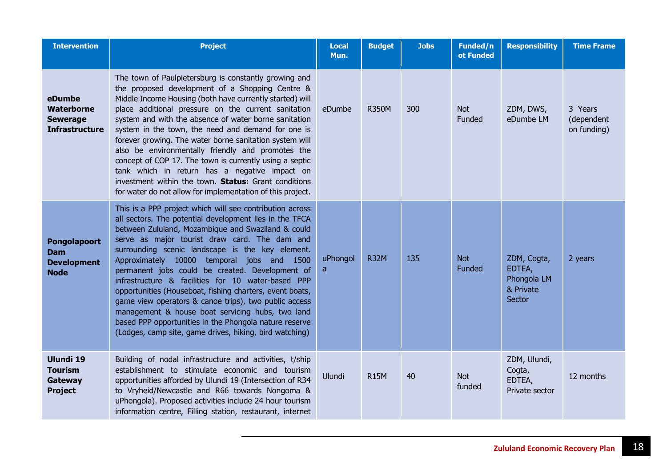| <b>Intervention</b>                                              | <b>Project</b>                                                                                                                                                                                                                                                                                                                                                                                                                                                                                                                                                                                                                                                                                                                      | <b>Local</b><br>Mun. | <b>Budget</b> | <b>Jobs</b> | Funded/n<br>ot Funded       | <b>Responsibility</b>                                       | <b>Time Frame</b>                    |
|------------------------------------------------------------------|-------------------------------------------------------------------------------------------------------------------------------------------------------------------------------------------------------------------------------------------------------------------------------------------------------------------------------------------------------------------------------------------------------------------------------------------------------------------------------------------------------------------------------------------------------------------------------------------------------------------------------------------------------------------------------------------------------------------------------------|----------------------|---------------|-------------|-----------------------------|-------------------------------------------------------------|--------------------------------------|
| eDumbe<br>Waterborne<br><b>Sewerage</b><br><b>Infrastructure</b> | The town of Paulpietersburg is constantly growing and<br>the proposed development of a Shopping Centre &<br>Middle Income Housing (both have currently started) will<br>place additional pressure on the current sanitation<br>system and with the absence of water borne sanitation<br>system in the town, the need and demand for one is<br>forever growing. The water borne sanitation system will<br>also be environmentally friendly and promotes the<br>concept of COP 17. The town is currently using a septic<br>tank which in return has a negative impact on<br>investment within the town. Status: Grant conditions<br>for water do not allow for implementation of this project.                                        | eDumbe               | <b>R350M</b>  | 300         | <b>Not</b><br>Funded        | ZDM, DWS,<br>eDumbe LM                                      | 3 Years<br>(dependent<br>on funding) |
| Pongolapoort<br><b>Dam</b><br><b>Development</b><br><b>Node</b>  | This is a PPP project which will see contribution across<br>all sectors. The potential development lies in the TFCA<br>between Zululand, Mozambique and Swaziland & could<br>serve as major tourist draw card. The dam and<br>surrounding scenic landscape is the key element.<br>Approximately 10000 temporal jobs and 1500<br>permanent jobs could be created. Development of<br>infrastructure & facilities for 10 water-based PPP<br>opportunities (Houseboat, fishing charters, event boats,<br>game view operators & canoe trips), two public access<br>management & house boat servicing hubs, two land<br>based PPP opportunities in the Phongola nature reserve<br>(Lodges, camp site, game drives, hiking, bird watching) | uPhongol<br>a        | <b>R32M</b>   | 135         | <b>Not</b><br><b>Funded</b> | ZDM, Cogta,<br>EDTEA,<br>Phongola LM<br>& Private<br>Sector | 2 years                              |
| Ulundi 19<br><b>Tourism</b><br>Gateway<br><b>Project</b>         | Building of nodal infrastructure and activities, t/ship<br>establishment to stimulate economic and tourism<br>opportunities afforded by Ulundi 19 (Intersection of R34<br>to Vryheid/Newcastle and R66 towards Nongoma &<br>uPhongola). Proposed activities include 24 hour tourism<br>information centre, Filling station, restaurant, internet                                                                                                                                                                                                                                                                                                                                                                                    | Ulundi               | <b>R15M</b>   | 40          | <b>Not</b><br>funded        | ZDM, Ulundi,<br>Cogta,<br>EDTEA,<br>Private sector          | 12 months                            |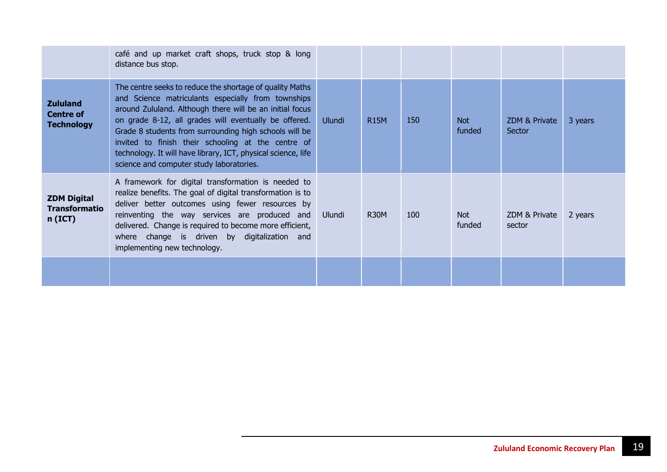|                                                          | café and up market craft shops, truck stop & long<br>distance bus stop.                                                                                                                                                                                                                                                                                                                                                                                          |        |             |     |                      |                         |         |
|----------------------------------------------------------|------------------------------------------------------------------------------------------------------------------------------------------------------------------------------------------------------------------------------------------------------------------------------------------------------------------------------------------------------------------------------------------------------------------------------------------------------------------|--------|-------------|-----|----------------------|-------------------------|---------|
| <b>Zululand</b><br><b>Centre of</b><br><b>Technology</b> | The centre seeks to reduce the shortage of quality Maths<br>and Science matriculants especially from townships<br>around Zululand. Although there will be an initial focus<br>on grade 8-12, all grades will eventually be offered.<br>Grade 8 students from surrounding high schools will be<br>invited to finish their schooling at the centre of<br>technology. It will have library, ICT, physical science, life<br>science and computer study laboratories. | Ulundi | <b>R15M</b> | 150 | Not<br>funded        | ZDM & Private<br>Sector | 3 years |
| <b>ZDM Digital</b><br><b>Transformatio</b><br>$n$ (ICT)  | A framework for digital transformation is needed to<br>realize benefits. The goal of digital transformation is to<br>deliver better outcomes using fewer resources by<br>reinventing the way services are produced and<br>delivered. Change is required to become more efficient,<br>where change is driven by digitalization and<br>implementing new technology.                                                                                                | Ulundi | <b>R30M</b> | 100 | <b>Not</b><br>funded | ZDM & Private<br>sector | 2 years |
|                                                          |                                                                                                                                                                                                                                                                                                                                                                                                                                                                  |        |             |     |                      |                         |         |